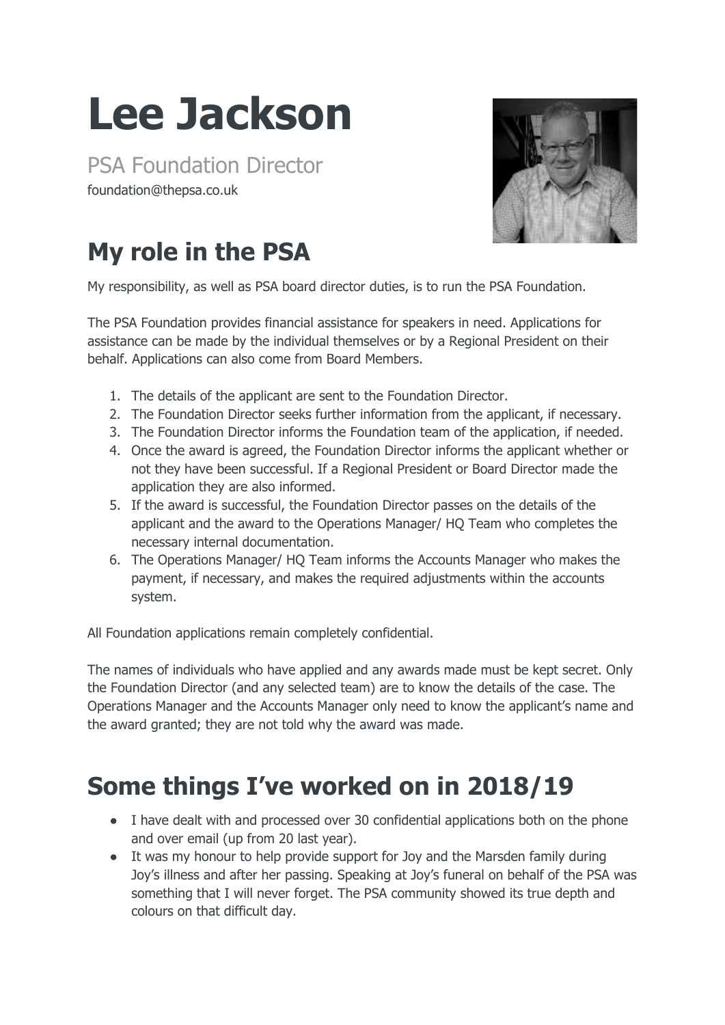## **Lee Jackson**

PSA Foundation Director foundation@thepsa.co.uk



## **My role in the PSA**

My responsibility, as well as PSA board director duties, is to run the PSA Foundation.

The PSA Foundation provides financial assistance for speakers in need. Applications for assistance can be made by the individual themselves or by a Regional President on their behalf. Applications can also come from Board Members.

- 1. The details of the applicant are sent to the Foundation Director.
- 2. The Foundation Director seeks further information from the applicant, if necessary.
- 3. The Foundation Director informs the Foundation team of the application, if needed.
- 4. Once the award is agreed, the Foundation Director informs the applicant whether or not they have been successful. If a Regional President or Board Director made the application they are also informed.
- 5. If the award is successful, the Foundation Director passes on the details of the applicant and the award to the Operations Manager/ HQ Team who completes the necessary internal documentation.
- 6. The Operations Manager/ HQ Team informs the Accounts Manager who makes the payment, if necessary, and makes the required adjustments within the accounts system.

All Foundation applications remain completely confidential.

The names of individuals who have applied and any awards made must be kept secret. Only the Foundation Director (and any selected team) are to know the details of the case. The Operations Manager and the Accounts Manager only need to know the applicant's name and the award granted; they are not told why the award was made.

## **Some things I've worked on in 2018/19**

- I have dealt with and processed over 30 confidential applications both on the phone and over email (up from 20 last year).
- It was my honour to help provide support for Joy and the Marsden family during Joy's illness and after her passing. Speaking at Joy's funeral on behalf of the PSA was something that I will never forget. The PSA community showed its true depth and colours on that difficult day.